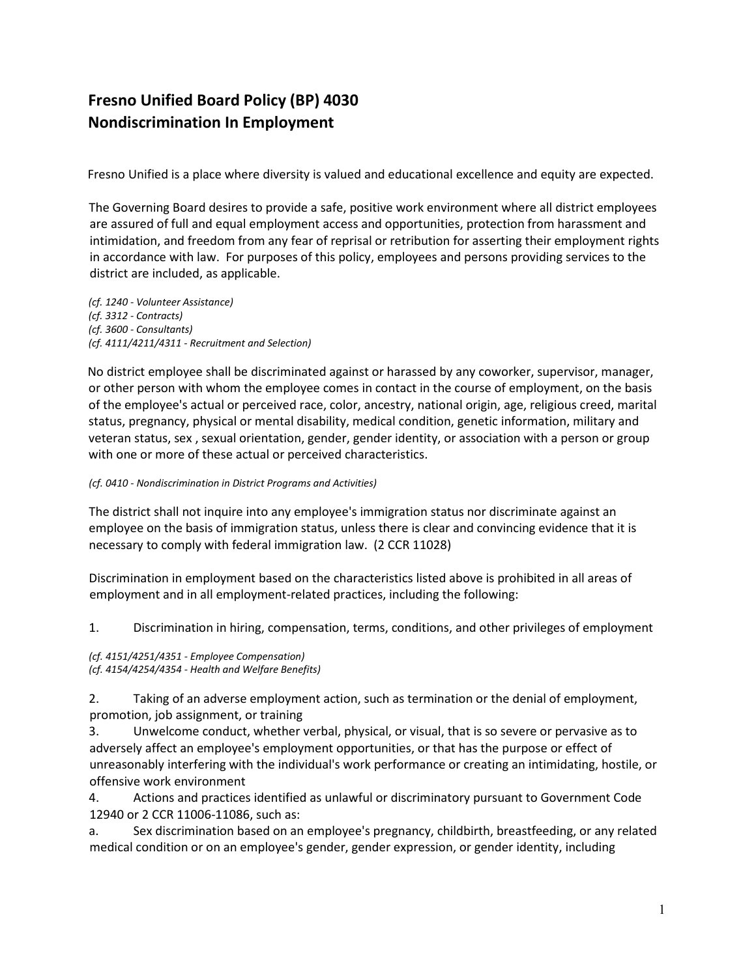# **Fresno Unified Board Policy (BP) 4030 Nondiscrimination In Employment**

Fresno Unified is a place where diversity is valued and educational excellence and equity are expected.

The Governing Board desires to provide a safe, positive work environment where all district employees are assured of full and equal employment access and opportunities, protection from harassment and intimidation, and freedom from any fear of reprisal or retribution for asserting their employment rights in accordance with law. For purposes of this policy, employees and persons providing services to the district are included, as applicable.

*(cf. 1240 - Volunteer Assistance) (cf. 3312 - Contracts) (cf. 3600 - Consultants) (cf. 4111/4211/4311 - Recruitment and Selection)*

No district employee shall be discriminated against or harassed by any coworker, supervisor, manager, or other person with whom the employee comes in contact in the course of employment, on the basis of the employee's actual or perceived race, color, ancestry, national origin, age, religious creed, marital status, pregnancy, physical or mental disability, medical condition, genetic information, military and veteran status, sex , sexual orientation, gender, gender identity, or association with a person or group with one or more of these actual or perceived characteristics.

# *(cf. 0410 - Nondiscrimination in District Programs and Activities)*

The district shall not inquire into any employee's immigration status nor discriminate against an employee on the basis of immigration status, unless there is clear and convincing evidence that it is necessary to comply with federal immigration law. (2 CCR 11028)

Discrimination in employment based on the characteristics listed above is prohibited in all areas of employment and in all employment-related practices, including the following:

1. Discrimination in hiring, compensation, terms, conditions, and other privileges of employment

*(cf. 4151/4251/4351 - Employee Compensation) (cf. 4154/4254/4354 - Health and Welfare Benefits)*

2. Taking of an adverse employment action, such as termination or the denial of employment, promotion, job assignment, or training

3. Unwelcome conduct, whether verbal, physical, or visual, that is so severe or pervasive as to adversely affect an employee's employment opportunities, or that has the purpose or effect of unreasonably interfering with the individual's work performance or creating an intimidating, hostile, or offensive work environment

4. Actions and practices identified as unlawful or discriminatory pursuant to Government Code 12940 or 2 CCR 11006-11086, such as:

a. Sex discrimination based on an employee's pregnancy, childbirth, breastfeeding, or any related medical condition or on an employee's gender, gender expression, or gender identity, including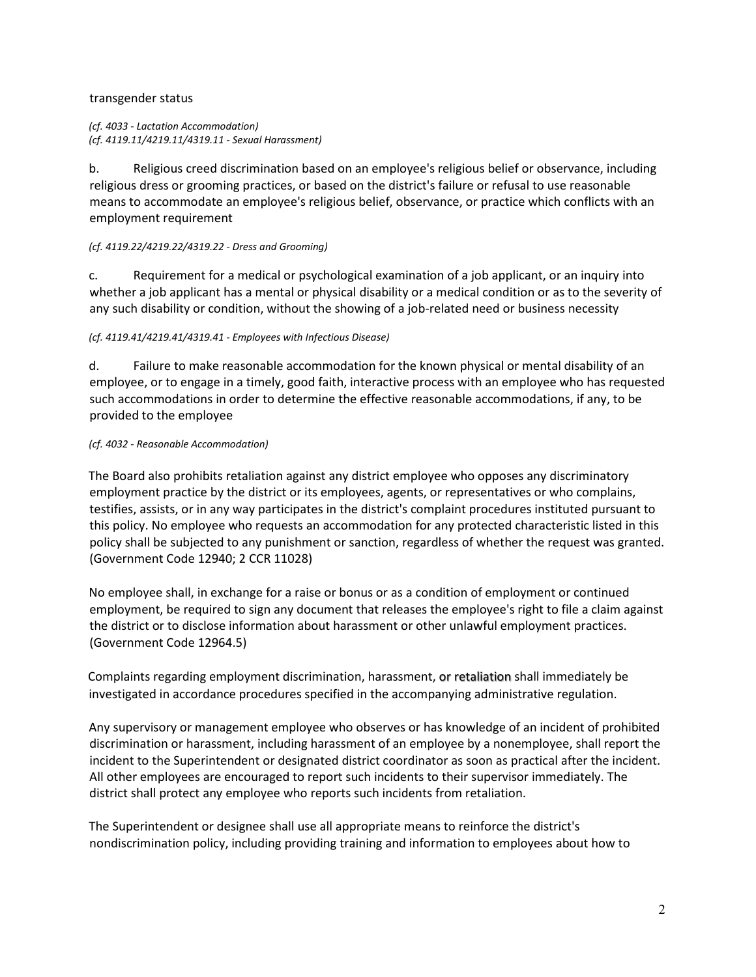# transgender status

*(cf. 4033 - Lactation Accommodation) (cf. 4119.11/4219.11/4319.11 - Sexual Harassment)*

b. Religious creed discrimination based on an employee's religious belief or observance, including religious dress or grooming practices, or based on the district's failure or refusal to use reasonable means to accommodate an employee's religious belief, observance, or practice which conflicts with an employment requirement

#### *(cf. 4119.22/4219.22/4319.22 - Dress and Grooming)*

c. Requirement for a medical or psychological examination of a job applicant, or an inquiry into whether a job applicant has a mental or physical disability or a medical condition or as to the severity of any such disability or condition, without the showing of a job-related need or business necessity

## *(cf. 4119.41/4219.41/4319.41 - Employees with Infectious Disease)*

d. Failure to make reasonable accommodation for the known physical or mental disability of an employee, or to engage in a timely, good faith, interactive process with an employee who has requested such accommodations in order to determine the effective reasonable accommodations, if any, to be provided to the employee

## *(cf. 4032 - Reasonable Accommodation)*

The Board also prohibits retaliation against any district employee who opposes any discriminatory employment practice by the district or its employees, agents, or representatives or who complains, testifies, assists, or in any way participates in the district's complaint procedures instituted pursuant to this policy. No employee who requests an accommodation for any protected characteristic listed in this policy shall be subjected to any punishment or sanction, regardless of whether the request was granted. (Government Code 12940; 2 CCR 11028)

No employee shall, in exchange for a raise or bonus or as a condition of employment or continued employment, be required to sign any document that releases the employee's right to file a claim against the district or to disclose information about harassment or other unlawful employment practices. (Government Code 12964.5)

Complaints regarding employment discrimination, harassment, or retaliation shall immediately be investigated in accordance procedures specified in the accompanying administrative regulation.

Any supervisory or management employee who observes or has knowledge of an incident of prohibited discrimination or harassment, including harassment of an employee by a nonemployee, shall report the incident to the Superintendent or designated district coordinator as soon as practical after the incident. All other employees are encouraged to report such incidents to their supervisor immediately. The district shall protect any employee who reports such incidents from retaliation.

The Superintendent or designee shall use all appropriate means to reinforce the district's nondiscrimination policy, including providing training and information to employees about how to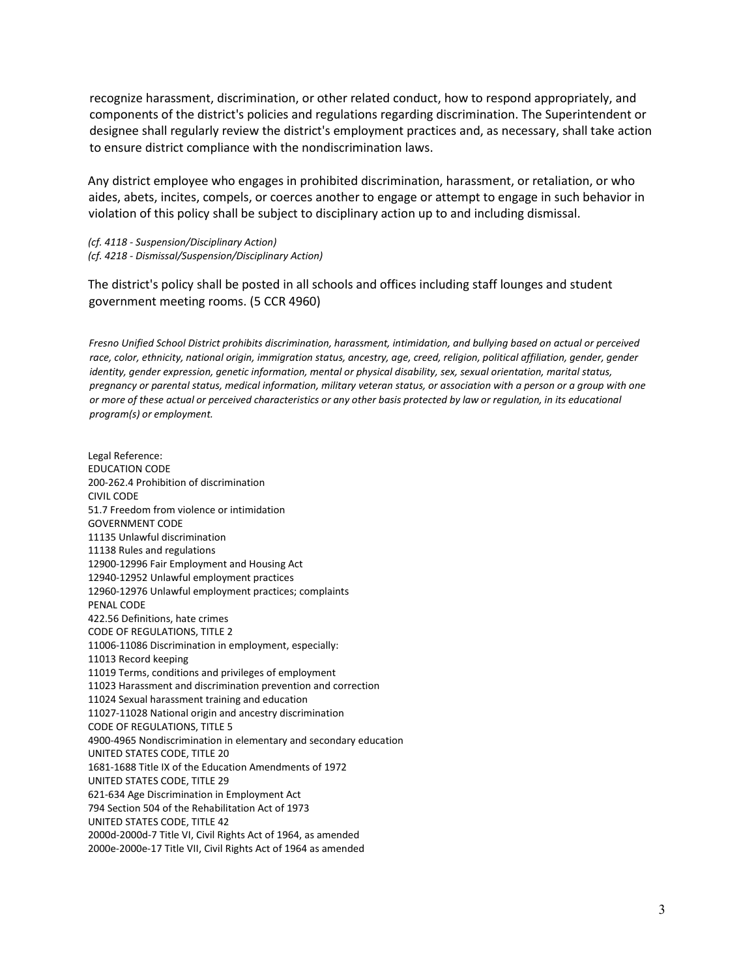recognize harassment, discrimination, or other related conduct, how to respond appropriately, and components of the district's policies and regulations regarding discrimination. The Superintendent or designee shall regularly review the district's employment practices and, as necessary, shall take action to ensure district compliance with the nondiscrimination laws.

Any district employee who engages in prohibited discrimination, harassment, or retaliation, or who aides, abets, incites, compels, or coerces another to engage or attempt to engage in such behavior in violation of this policy shall be subject to disciplinary action up to and including dismissal.

*(cf. 4118 - Suspension/Disciplinary Action) (cf. 4218 - Dismissal/Suspension/Disciplinary Action)* 

The district's policy shall be posted in all schools and offices including staff lounges and student government meeting rooms. (5 CCR 4960)

*Fresno Unified School District prohibits discrimination, harassment, intimidation, and bullying based on actual or perceived*  race, color, ethnicity, national origin, immigration status, ancestry, age, creed, religion, political affiliation, gender, gender *identity, gender expression, genetic information, mental or physical disability, sex, sexual orientation, marital status, pregnancy or parental status, medical information, military veteran status, or association with a person or a group with one*  or more of these actual or perceived characteristics or any other basis protected by law or regulation, in its educational *program(s) or employment.*

Legal Reference: EDUCATION CODE 200-262.4 Prohibition of discrimination CIVIL CODE 51.7 Freedom from violence or intimidation GOVERNMENT CODE 11135 Unlawful discrimination 11138 Rules and regulations 12900-12996 Fair Employment and Housing Act 12940-12952 Unlawful employment practices 12960-12976 Unlawful employment practices; complaints PENAL CODE 422.56 Definitions, hate crimes CODE OF REGULATIONS, TITLE 2 11006-11086 Discrimination in employment, especially: 11013 Record keeping 11019 Terms, conditions and privileges of employment 11023 Harassment and discrimination prevention and correction 11024 Sexual harassment training and education 11027-11028 National origin and ancestry discrimination CODE OF REGULATIONS, TITLE 5 4900-4965 Nondiscrimination in elementary and secondary education UNITED STATES CODE, TITLE 20 1681-1688 Title IX of the Education Amendments of 1972 UNITED STATES CODE, TITLE 29 621-634 Age Discrimination in Employment Act 794 Section 504 of the Rehabilitation Act of 1973 UNITED STATES CODE, TITLE 42 2000d-2000d-7 Title VI, Civil Rights Act of 1964, as amended 2000e-2000e-17 Title VII, Civil Rights Act of 1964 as amended